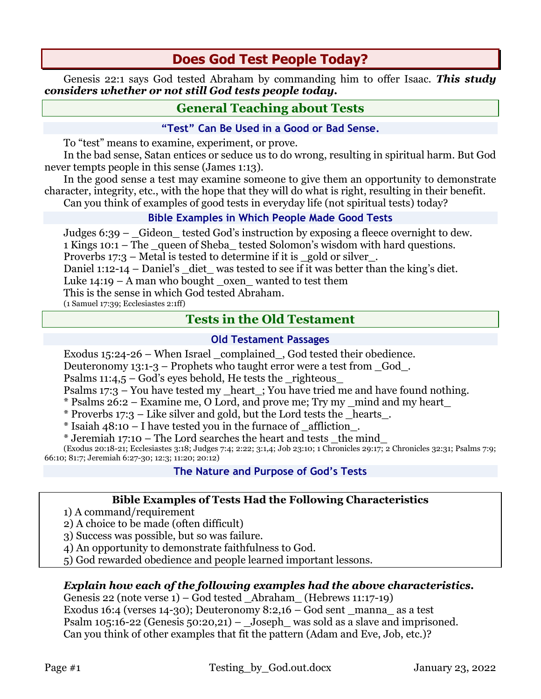# **Does God Test People Today?**

Genesis 22:1 says God tested Abraham by commanding him to offer Isaac. *This study considers whether or not still God tests people today.*

## **General Teaching about Tests**

#### **"Test" Can Be Used in a Good or Bad Sense.**

To "test" means to examine, experiment, or prove.

In the bad sense, Satan entices or seduce us to do wrong, resulting in spiritual harm. But God never tempts people in this sense (James 1:13).

In the good sense a test may examine someone to give them an opportunity to demonstrate character, integrity, etc., with the hope that they will do what is right, resulting in their benefit. Can you think of examples of good tests in everyday life (not spiritual tests) today?

## **Bible Examples in Which People Made Good Tests**

Judges 6:39 – \_Gideon\_ tested God's instruction by exposing a fleece overnight to dew. 1 Kings 10:1 – The \_queen of Sheba\_ tested Solomon's wisdom with hard questions.

Proverbs  $17:3$  – Metal is tested to determine if it is gold or silver.

Daniel 1:12-14 – Daniel's \_diet\_ was tested to see if it was better than the king's diet.

Luke  $14:19 - A$  man who bought oxen wanted to test them

This is the sense in which God tested Abraham.

(1 Samuel 17:39; Ecclesiastes 2:1ff)

## **Tests in the Old Testament**

## **Old Testament Passages**

Exodus 15:24-26 – When Israel complained, God tested their obedience.

Deuteronomy  $13:1-3$  – Prophets who taught error were a test from God.

Psalms 11:4,5 – God's eyes behold, He tests the \_righteous\_

Psalms 17:3 – You have tested my \_heart\_; You have tried me and have found nothing.

\* Psalms 26:2 – Examine me, O Lord, and prove me; Try my \_mind and my heart\_

\* Proverbs 17:3 – Like silver and gold, but the Lord tests the hearts.

\* Isaiah 48:10 – I have tested you in the furnace of \_affliction\_.

 $*$  Jeremiah 17:10 – The Lord searches the heart and tests the mind

(Exodus 20:18-21; Ecclesiastes 3:18; Judges 7:4; 2:22; 3:1,4; Job 23:10; 1 Chronicles 29:17; 2 Chronicles 32:31; Psalms 7:9; 66:10; 81:7; Jeremiah 6:27-30; 12:3; 11:20; 20:12)

## **The Nature and Purpose of God's Tests**

#### **Bible Examples of Tests Had the Following Characteristics**

1) A command/requirement

2) A choice to be made (often difficult)

3) Success was possible, but so was failure.

4) An opportunity to demonstrate faithfulness to God.

5) God rewarded obedience and people learned important lessons.

#### *Explain how each of the following examples had the above characteristics.*

Genesis 22 (note verse 1) – God tested \_Abraham\_ (Hebrews 11:17-19) Exodus 16:4 (verses 14-30); Deuteronomy 8:2,16 – God sent \_manna \_as a test Psalm 105:16-22 (Genesis 50:20,21) – Joseph was sold as a slave and imprisoned. Can you think of other examples that fit the pattern (Adam and Eve, Job, etc.)?